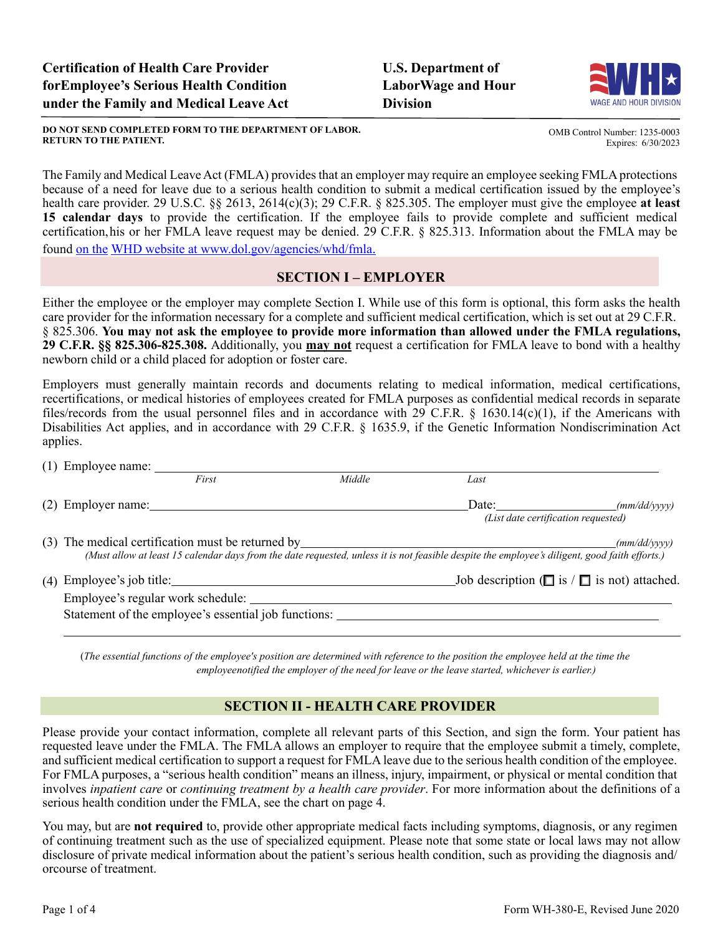#### **DO NOT SEND COMPLETED FORM TO THE DEPARTMENT OF LABOR. RETURN TO THE PATIENT.**

The Family and Medical Leave Act (FMLA) provides that an employer may require an employee seeking FMLA protections because of a need for leave due to a serious health condition to submit a medical certification issued by the employee's health care provider. 29 U.S.C. §§ 2613, 2614(c)(3); 29 C.F.R. § 825.305. The employer must give the employee **at least 15 calendar days** to provide the certification. If the employee fails to provide complete and sufficient medical certification,his or her FMLA leave request may be denied. 29 C.F.R. § 825.313. Information about the FMLA may be found on the WHD website at [www.dol.gov/agencies/whd/fmla](http://www.dol.gov/agencies/whd/fmla).

## **SECTION I – EMPLOYER**

Either the employee or the employer may complete Section I. While use of this form is optional, this form asks the health care provider for the information necessary for a complete and sufficient medical certification, which is set out at 29 C.F.R. § 825.306. **You may not ask the employee to provide more information than allowed under the FMLA regulations, 29 C.F.R. §§ 825.306-825.308.** Additionally, you **may not** request a certification for FMLA leave to bond with a healthy newborn child or a child placed for adoption or foster care.

Employers must generally maintain records and documents relating to medical information, medical certifications, recertifications, or medical histories of employees created for FMLA purposes as confidential medical records in separate files/records from the usual personnel files and in accordance with 29 C.F.R. § 1630.14(c)(1), if the Americans with Disabilities Act applies, and in accordance with 29 C.F.R. § 1635.9, if the Genetic Information Nondiscrimination Act applies.

| $(1)$ Employee name: $\_\_$ |                                                                                                                                                                                                                     |                             |                       |                                                      |  |  |
|-----------------------------|---------------------------------------------------------------------------------------------------------------------------------------------------------------------------------------------------------------------|-----------------------------|-----------------------|------------------------------------------------------|--|--|
|                             | First                                                                                                                                                                                                               | Middle                      | Last                  |                                                      |  |  |
| $(2)$ Employer name:        |                                                                                                                                                                                                                     |                             | Date: $\qquad \qquad$ | (mm/dd/vvvv)<br>(List date certification requested)  |  |  |
|                             | (3) The medical certification must be returned by<br>(mm/dd/yyyy)<br>(Must allow at least 15 calendar days from the date requested, unless it is not feasible despite the employee's diligent, good faith efforts.) |                             |                       |                                                      |  |  |
|                             | Employee's regular work schedule:<br>Statement of the employee's essential job functions:                                                                                                                           | $(4)$ Employee's job title: |                       | Job description ( $\Box$ is $\Box$ is not) attached. |  |  |

(*The essential functions of the employee's position are determined with reference to the position the employee held at the time the employeenotified the employer of the need for leave or the leave started, whichever is earlier.)*

## **SECTION II - HEALTH CARE PROVIDER**

Please provide your contact information, complete all relevant parts of this Section, and sign the form. Your patient has requested leave under the FMLA. The FMLA allows an employer to require that the employee submit a timely, complete, and sufficient medical certification to support a request for FMLA leave due to the serious health condition of the employee. For FMLA purposes, a "serious health condition" means an illness, injury, impairment, or physical or mental condition that involves *inpatient care* or *continuing treatment by a health care provider*. For more information about the definitions of a serious health condition under the FMLA, see the chart on page 4.

You may, but are **not required** to, provide other appropriate medical facts including symptoms, diagnosis, or any regimen of continuing treatment such as the use of specialized equipment. Please note that some state or local laws may not allow disclosure of private medical information about the patient's serious health condition, such as providing the diagnosis and/ orcourse of treatment.





Expires: 6/30/2023

OMB Control Number: 1235-0003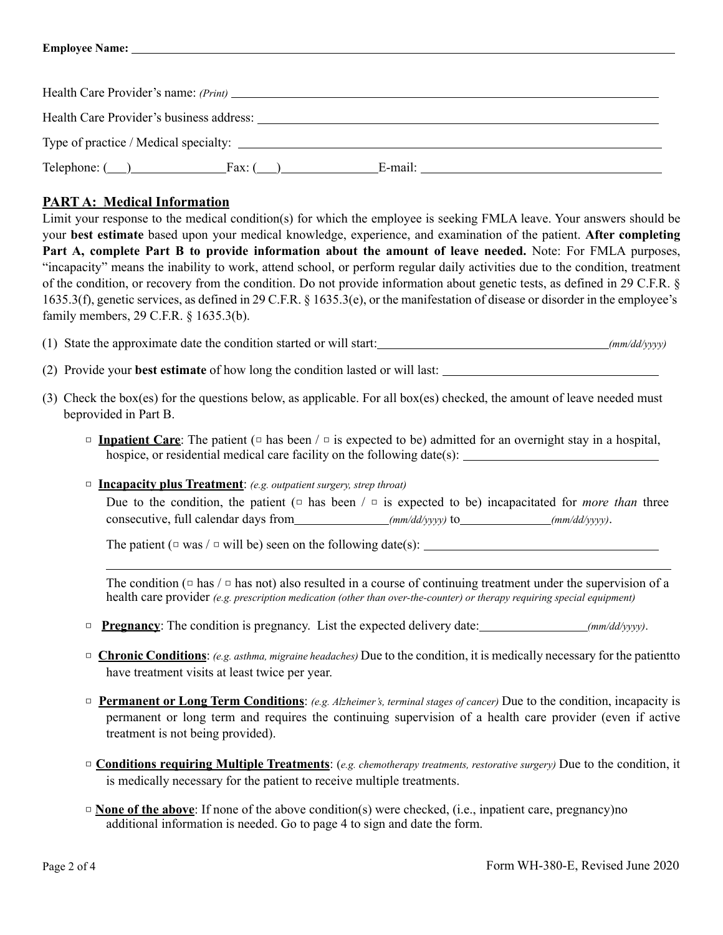| Health Care Provider's name: (Print)     |        |         |  |  |  |  |  |
|------------------------------------------|--------|---------|--|--|--|--|--|
| Health Care Provider's business address: |        |         |  |  |  |  |  |
| Type of practice / Medical specialty:    |        |         |  |  |  |  |  |
| $\text{Telephone: } (\_\_\_\_\_\_\$      | Fax: ( | E-mail: |  |  |  |  |  |

# **PART A: Medical Information**

Limit your response to the medical condition(s) for which the employee is seeking FMLA leave. Your answers should be your **best estimate** based upon your medical knowledge, experience, and examination of the patient. **After completing Part A, complete Part B to provide information about the amount of leave needed.** Note: For FMLA purposes, "incapacity" means the inability to work, attend school, or perform regular daily activities due to the condition, treatment of the condition, or recovery from the condition. Do not provide information about genetic tests, as defined in 29 C.F.R. § 1635.3(f), genetic services, as defined in 29 C.F.R. § 1635.3(e), or the manifestation of disease or disorder in the employee's family members, 29 C.F.R. § 1635.3(b).

(1) State the approximate date the condition started or will start: *(mm/dd/yyyy)*

(2) Provide your **best estimate** of how long the condition lasted or will last:

- (3) Check the box(es) for the questions below, as applicable. For all box(es) checked, the amount of leave needed must beprovided in Part B.
	- □ **Inpatient Care**: The patient (□ has been / □ is expected to be) admitted for an overnight stay in a hospital, hospice, or residential medical care facility on the following date(s):
	- □ **Incapacity plus Treatment**: *(e.g. outpatient surgery, strep throat)*

Due to the condition, the patient  $(\square$  has been  $/\square$  is expected to be) incapacitated for *more than* three consecutive, full calendar days from *(mm/dd/yyyy)* to *(mm/dd/yyyy)*.

The patient ( $\Box$  was /  $\Box$  will be) seen on the following date(s): \_\_\_\_\_\_\_\_\_\_\_\_

The condition ( $\Box$  has  $\Box$  a has not) also resulted in a course of continuing treatment under the supervision of a health care provider *(e.g. prescription medication (other than over-the-counter) or therapy requiring special equipment)*

- □ **Pregnancy**: The condition is pregnancy. List the expected delivery date: *(mm/dd/yyyy)*.
- □ **Chronic Conditions**: *(e.g. asthma, migraine headaches)* Due to the condition, it is medically necessary for the patientto have treatment visits at least twice per year.
- □ **Permanent or Long Term Conditions**: *(e.g. Alzheimer's, terminal stages of cancer)* Due to the condition, incapacity is permanent or long term and requires the continuing supervision of a health care provider (even if active treatment is not being provided).
- □ **Conditions requiring Multiple Treatments**: (*e.g. chemotherapy treatments, restorative surgery)* Due to the condition, it is medically necessary for the patient to receive multiple treatments.
- □ **None of the above**: If none of the above condition(s) were checked, (i.e., inpatient care, pregnancy)no additional information is needed. Go to page 4 to sign and date the form.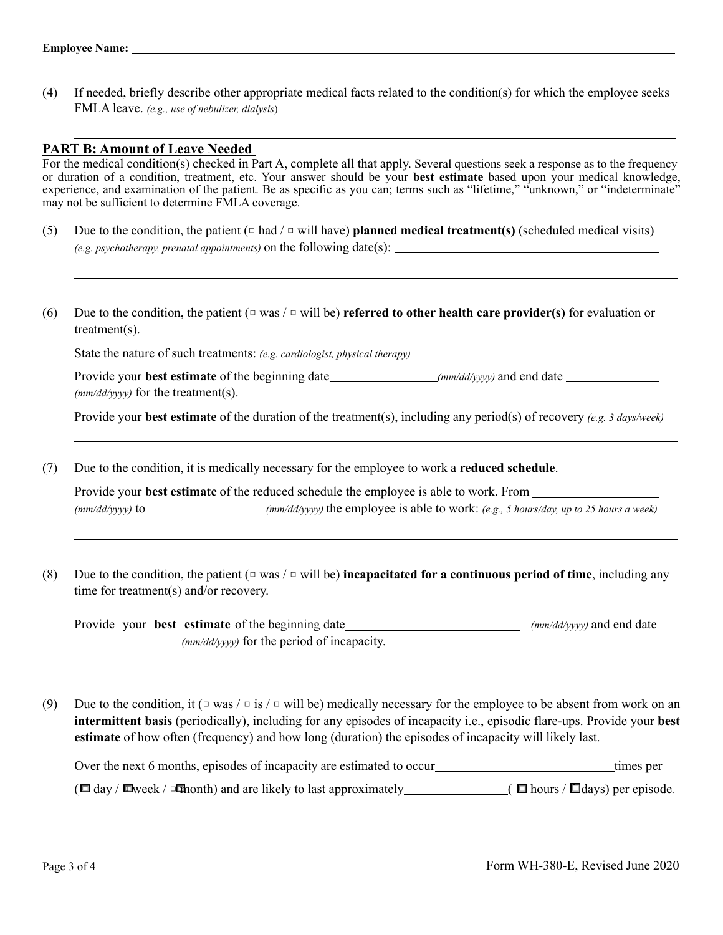(4) If needed, briefly describe other appropriate medical facts related to the condition(s) for which the employee seeks FMLA leave. *(e.g., use of nebulizer, dialysis*)

### **PART B: Amount of Leave Needed**

For the medical condition(s) checked in Part A, complete all that apply. Several questions seek a response as to the frequency or duration of a condition, treatment, etc. Your answer should be your **best estimate** based upon your medical knowledge, experience, and examination of the patient. Be as specific as you can; terms such as "lifetime," "unknown," or "indeterminate" may not be sufficient to determine FMLA coverage.

- (5) Due to the condition, the patient  $\left(\square$  had  $\right/\square$  will have) **planned medical treatment(s)** (scheduled medical visits) *(e.g. psychotherapy, prenatal appointments)* on the following date(s):
- (6) Due to the condition, the patient (□ was / □ will be) **referred to other health care provider(s)** for evaluation or treatment(s).

State the nature of such treatments: *(e.g. cardiologist, physical therapy)*

Provide your **best estimate** of the beginning date *(mm/dd/yyyy)* and end date *(mm/dd/yyyy)* for the treatment(s).

Provide your **best estimate** of the duration of the treatment(s), including any period(s) of recovery *(e.g. 3 days/week)*

(7) Due to the condition, it is medically necessary for the employee to work a **reduced schedule**.

Provide your **best estimate** of the reduced schedule the employee is able to work. From *(mm/dd/yyyy)* to *(mm/dd/yyyy)* the employee is able to work: *(e.g., 5 hours/day, up to 25 hours a week)*

(8) Due to the condition, the patient  $(\square \text{ was } / \square \text{ will be})$  **incapacitated for a continuous period of time**, including any time for treatment(s) and/or recovery.

Provide your **best estimate** of the beginning date *(mm/dd/yyyy)* for the period of incapacity. *(mm/dd/yyyy)* and end date

(9) Due to the condition, it ( $\Box$  was  $/\Box$  is  $/\Box$  will be) medically necessary for the employee to be absent from work on an **intermittent basis** (periodically), including for any episodes of incapacity i.e., episodic flare-ups. Provide your **best estimate** of how often (frequency) and how long (duration) the episodes of incapacity will likely last.

□ □ □ ( day / □ week / □ month) and are likely to last approximately ( hours / ■ days) per episode*.*Over the next 6 months, episodes of incapacity are estimated to occur times per